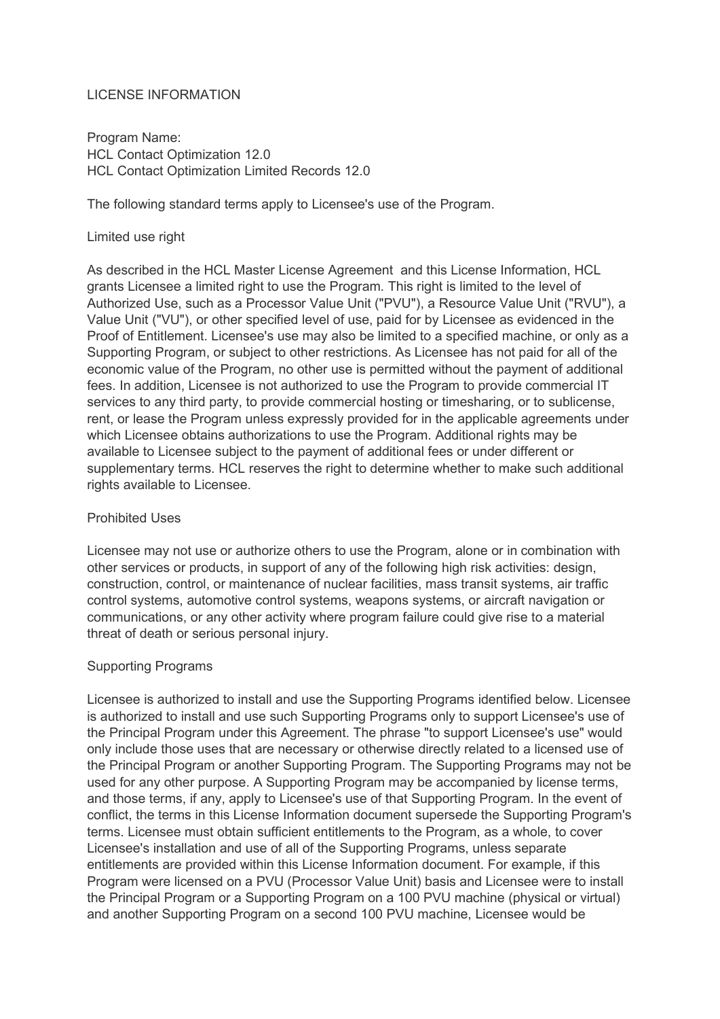### LICENSE INFORMATION

Program Name: HCL Contact Optimization 12.0 HCL Contact Optimization Limited Records 12.0

The following standard terms apply to Licensee's use of the Program.

#### Limited use right

As described in the HCL Master License Agreement and this License Information, HCL grants Licensee a limited right to use the Program. This right is limited to the level of Authorized Use, such as a Processor Value Unit ("PVU"), a Resource Value Unit ("RVU"), a Value Unit ("VU"), or other specified level of use, paid for by Licensee as evidenced in the Proof of Entitlement. Licensee's use may also be limited to a specified machine, or only as a Supporting Program, or subject to other restrictions. As Licensee has not paid for all of the economic value of the Program, no other use is permitted without the payment of additional fees. In addition, Licensee is not authorized to use the Program to provide commercial IT services to any third party, to provide commercial hosting or timesharing, or to sublicense, rent, or lease the Program unless expressly provided for in the applicable agreements under which Licensee obtains authorizations to use the Program. Additional rights may be available to Licensee subject to the payment of additional fees or under different or supplementary terms. HCL reserves the right to determine whether to make such additional rights available to Licensee.

### Prohibited Uses

Licensee may not use or authorize others to use the Program, alone or in combination with other services or products, in support of any of the following high risk activities: design, construction, control, or maintenance of nuclear facilities, mass transit systems, air traffic control systems, automotive control systems, weapons systems, or aircraft navigation or communications, or any other activity where program failure could give rise to a material threat of death or serious personal injury.

### Supporting Programs

Licensee is authorized to install and use the Supporting Programs identified below. Licensee is authorized to install and use such Supporting Programs only to support Licensee's use of the Principal Program under this Agreement. The phrase "to support Licensee's use" would only include those uses that are necessary or otherwise directly related to a licensed use of the Principal Program or another Supporting Program. The Supporting Programs may not be used for any other purpose. A Supporting Program may be accompanied by license terms, and those terms, if any, apply to Licensee's use of that Supporting Program. In the event of conflict, the terms in this License Information document supersede the Supporting Program's terms. Licensee must obtain sufficient entitlements to the Program, as a whole, to cover Licensee's installation and use of all of the Supporting Programs, unless separate entitlements are provided within this License Information document. For example, if this Program were licensed on a PVU (Processor Value Unit) basis and Licensee were to install the Principal Program or a Supporting Program on a 100 PVU machine (physical or virtual) and another Supporting Program on a second 100 PVU machine, Licensee would be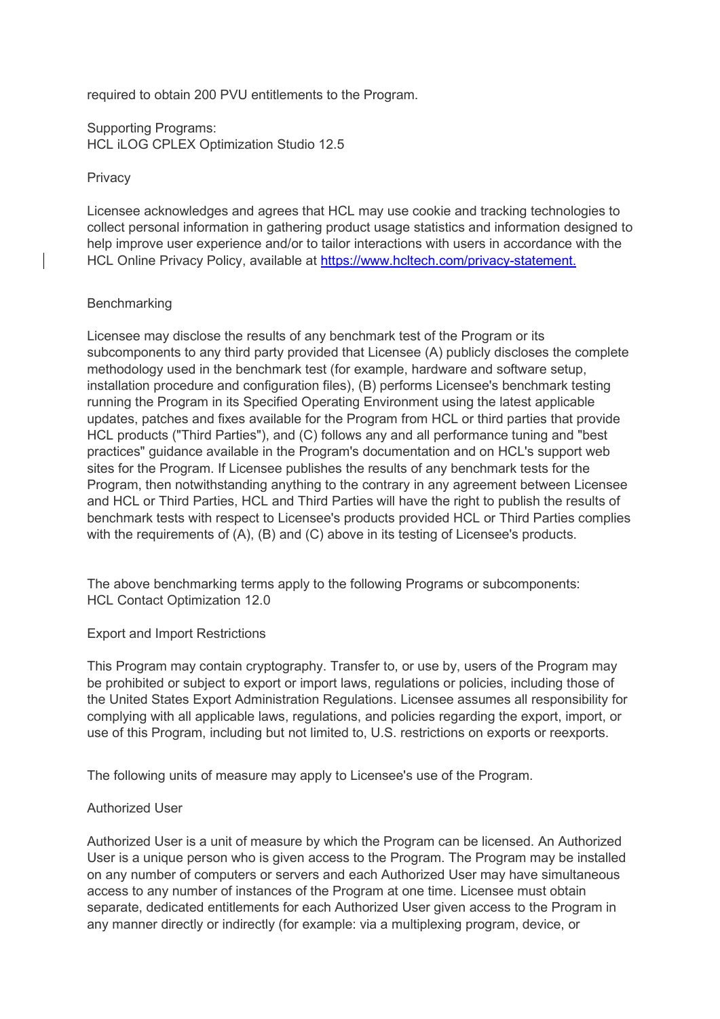required to obtain 200 PVU entitlements to the Program.

Supporting Programs: HCL iLOG CPLEX Optimization Studio 12.5

### **Privacy**

Licensee acknowledges and agrees that HCL may use cookie and tracking technologies to collect personal information in gathering product usage statistics and information designed to help improve user experience and/or to tailor interactions with users in accordance with the HCL Online Privacy Policy, available at [https://www.hcltech.com/privacy-statement.](https://www.hcltech.com/privacy-statement)

### **Benchmarking**

Licensee may disclose the results of any benchmark test of the Program or its subcomponents to any third party provided that Licensee (A) publicly discloses the complete methodology used in the benchmark test (for example, hardware and software setup, installation procedure and configuration files), (B) performs Licensee's benchmark testing running the Program in its Specified Operating Environment using the latest applicable updates, patches and fixes available for the Program from HCL or third parties that provide HCL products ("Third Parties"), and (C) follows any and all performance tuning and "best practices" guidance available in the Program's documentation and on HCL's support web sites for the Program. If Licensee publishes the results of any benchmark tests for the Program, then notwithstanding anything to the contrary in any agreement between Licensee and HCL or Third Parties, HCL and Third Parties will have the right to publish the results of benchmark tests with respect to Licensee's products provided HCL or Third Parties complies with the requirements of (A), (B) and (C) above in its testing of Licensee's products.

The above benchmarking terms apply to the following Programs or subcomponents: HCL Contact Optimization 12.0

### Export and Import Restrictions

This Program may contain cryptography. Transfer to, or use by, users of the Program may be prohibited or subject to export or import laws, regulations or policies, including those of the United States Export Administration Regulations. Licensee assumes all responsibility for complying with all applicable laws, regulations, and policies regarding the export, import, or use of this Program, including but not limited to, U.S. restrictions on exports or reexports.

The following units of measure may apply to Licensee's use of the Program.

### Authorized User

Authorized User is a unit of measure by which the Program can be licensed. An Authorized User is a unique person who is given access to the Program. The Program may be installed on any number of computers or servers and each Authorized User may have simultaneous access to any number of instances of the Program at one time. Licensee must obtain separate, dedicated entitlements for each Authorized User given access to the Program in any manner directly or indirectly (for example: via a multiplexing program, device, or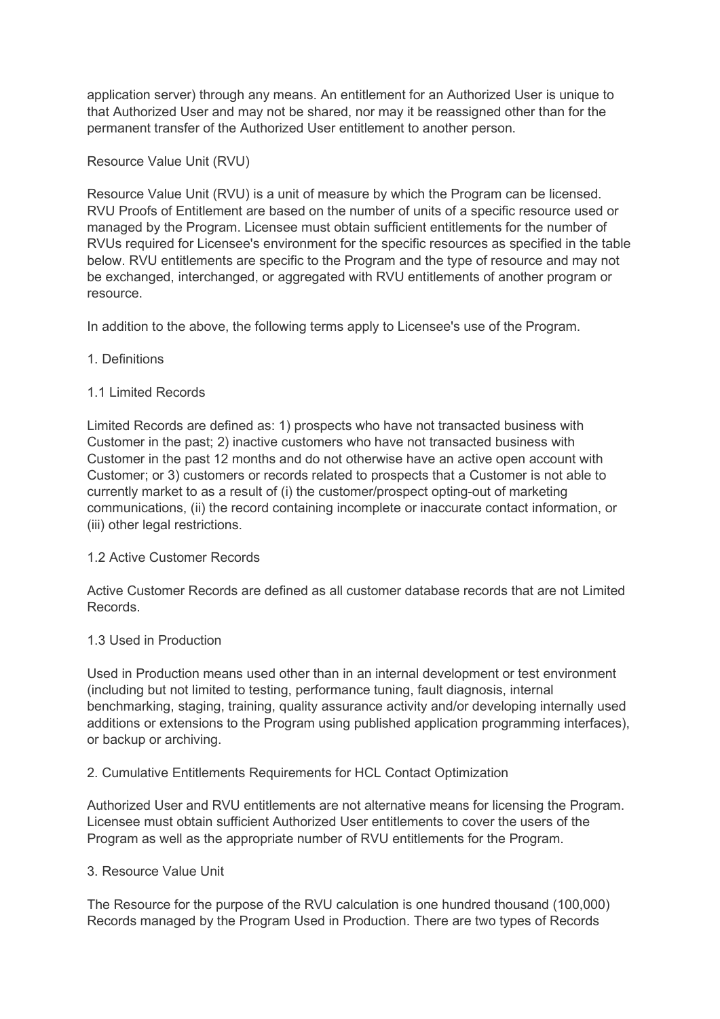application server) through any means. An entitlement for an Authorized User is unique to that Authorized User and may not be shared, nor may it be reassigned other than for the permanent transfer of the Authorized User entitlement to another person.

## Resource Value Unit (RVU)

Resource Value Unit (RVU) is a unit of measure by which the Program can be licensed. RVU Proofs of Entitlement are based on the number of units of a specific resource used or managed by the Program. Licensee must obtain sufficient entitlements for the number of RVUs required for Licensee's environment for the specific resources as specified in the table below. RVU entitlements are specific to the Program and the type of resource and may not be exchanged, interchanged, or aggregated with RVU entitlements of another program or resource.

In addition to the above, the following terms apply to Licensee's use of the Program.

### 1. Definitions

# 1.1 Limited Records

Limited Records are defined as: 1) prospects who have not transacted business with Customer in the past; 2) inactive customers who have not transacted business with Customer in the past 12 months and do not otherwise have an active open account with Customer; or 3) customers or records related to prospects that a Customer is not able to currently market to as a result of (i) the customer/prospect opting-out of marketing communications, (ii) the record containing incomplete or inaccurate contact information, or (iii) other legal restrictions.

### 1.2 Active Customer Records

Active Customer Records are defined as all customer database records that are not Limited Records.

### 1.3 Used in Production

Used in Production means used other than in an internal development or test environment (including but not limited to testing, performance tuning, fault diagnosis, internal benchmarking, staging, training, quality assurance activity and/or developing internally used additions or extensions to the Program using published application programming interfaces), or backup or archiving.

### 2. Cumulative Entitlements Requirements for HCL Contact Optimization

Authorized User and RVU entitlements are not alternative means for licensing the Program. Licensee must obtain sufficient Authorized User entitlements to cover the users of the Program as well as the appropriate number of RVU entitlements for the Program.

### 3. Resource Value Unit

The Resource for the purpose of the RVU calculation is one hundred thousand (100,000) Records managed by the Program Used in Production. There are two types of Records